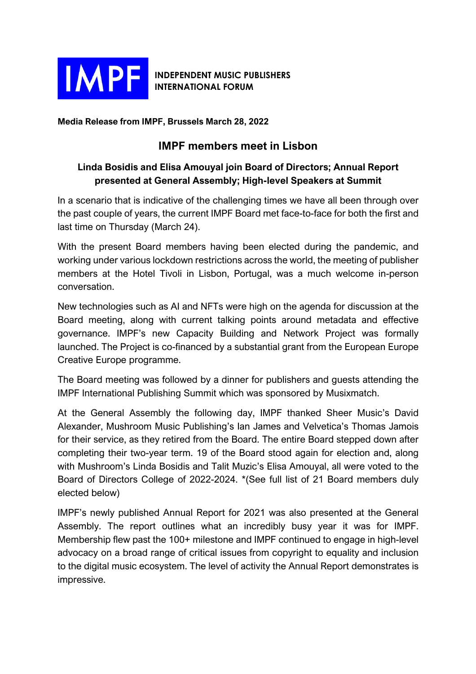

## **INDEPENDENT MUSIC PUBLISHERS INTERNATIONAL FORUM**

**Media Release from IMPF, Brussels March 28, 2022**

## **IMPF members meet in Lisbon**

## **Linda Bosidis and Elisa Amouyal join Board of Directors; Annual Report presented at General Assembly; High-level Speakers at Summit**

In a scenario that is indicative of the challenging times we have all been through over the past couple of years, the current IMPF Board met face-to-face for both the first and last time on Thursday (March 24).

With the present Board members having been elected during the pandemic, and working under various lockdown restrictions across the world, the meeting of publisher members at the Hotel Tivoli in Lisbon, Portugal, was a much welcome in-person conversation.

New technologies such as AI and NFTs were high on the agenda for discussion at the Board meeting, along with current talking points around metadata and effective governance. IMPF's new Capacity Building and Network Project was formally launched. The Project is co-financed by a substantial grant from the European Europe Creative Europe programme.

The Board meeting was followed by a dinner for publishers and guests attending the IMPF International Publishing Summit which was sponsored by Musixmatch.

At the General Assembly the following day, IMPF thanked Sheer Music's David Alexander, Mushroom Music Publishing's Ian James and Velvetica's Thomas Jamois for their service, as they retired from the Board. The entire Board stepped down after completing their two-year term. 19 of the Board stood again for election and, along with Mushroom's Linda Bosidis and Talit Muzic's Elisa Amouyal, all were voted to the Board of Directors College of 2022-2024. \*(See full list of 21 Board members duly elected below)

IMPF's newly published Annual Report for 2021 was also presented at the General Assembly. The report outlines what an incredibly busy year it was for IMPF. Membership flew past the 100+ milestone and IMPF continued to engage in high-level advocacy on a broad range of critical issues from copyright to equality and inclusion to the digital music ecosystem. The level of activity the Annual Report demonstrates is impressive.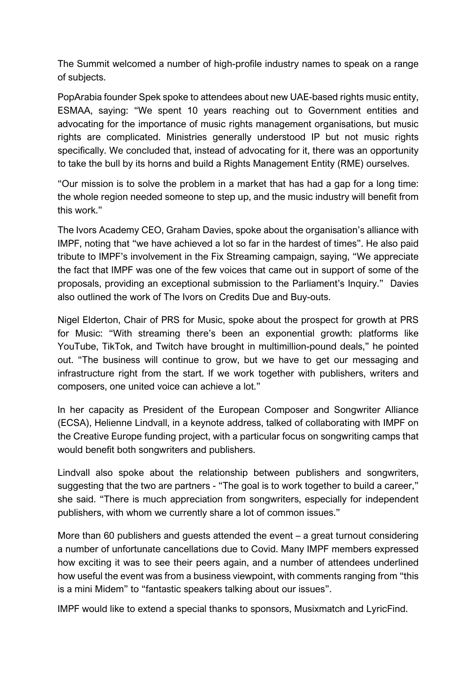The Summit welcomed a number of high-profile industry names to speak on a range of subjects.

PopArabia founder Spek spoke to attendees about new UAE-based rights music entity, ESMAA, saying: "We spent 10 years reaching out to Government entities and advocating for the importance of music rights management organisations, but music rights are complicated. Ministries generally understood IP but not music rights specifically. We concluded that, instead of advocating for it, there was an opportunity to take the bull by its horns and build a Rights Management Entity (RME) ourselves.

"Our mission is to solve the problem in a market that has had a gap for a long time: the whole region needed someone to step up, and the music industry will benefit from this work."

The Ivors Academy CEO, Graham Davies, spoke about the organisation's alliance with IMPF, noting that "we have achieved a lot so far in the hardest of times". He also paid tribute to IMPF's involvement in the Fix Streaming campaign, saying, "We appreciate the fact that IMPF was one of the few voices that came out in support of some of the proposals, providing an exceptional submission to the Parliament's Inquiry." Davies also outlined the work of The Ivors on Credits Due and Buy-outs.

Nigel Elderton, Chair of PRS for Music, spoke about the prospect for growth at PRS for Music: "With streaming there's been an exponential growth: platforms like YouTube, TikTok, and Twitch have brought in multimillion-pound deals," he pointed out. "The business will continue to grow, but we have to get our messaging and infrastructure right from the start. If we work together with publishers, writers and composers, one united voice can achieve a lot."

In her capacity as President of the European Composer and Songwriter Alliance (ECSA), Helienne Lindvall, in a keynote address, talked of collaborating with IMPF on the Creative Europe funding project, with a particular focus on songwriting camps that would benefit both songwriters and publishers.

Lindvall also spoke about the relationship between publishers and songwriters, suggesting that the two are partners - "The goal is to work together to build a career," she said. "There is much appreciation from songwriters, especially for independent publishers, with whom we currently share a lot of common issues."

More than 60 publishers and guests attended the event – a great turnout considering a number of unfortunate cancellations due to Covid. Many IMPF members expressed how exciting it was to see their peers again, and a number of attendees underlined how useful the event was from a business viewpoint, with comments ranging from "this is a mini Midem" to "fantastic speakers talking about our issues".

IMPF would like to extend a special thanks to sponsors, Musixmatch and LyricFind.